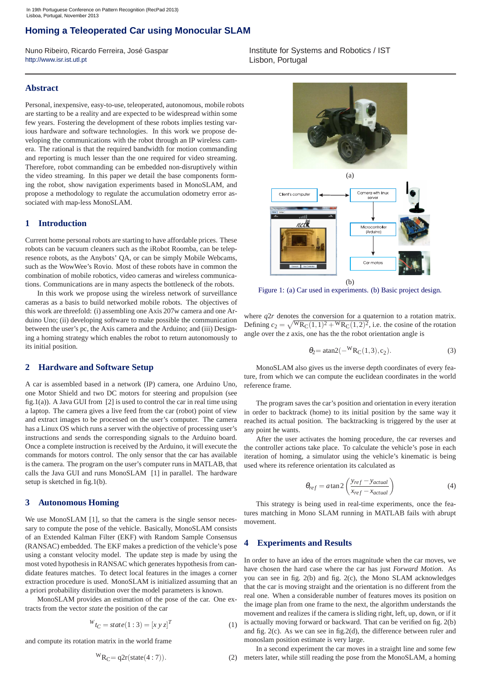# **Homing a Teleoperated Car using Monocular SLAM**

Nuno Ribeiro, Ricardo Ferreira, José Gaspar http://www.isr.ist.utl.pt

### **Abstract**

Personal, inexpensive, easy-to-use, teleoperated, autonomous, mobile robots are starting to be a reality and are expected to be widespread within some few years. Fostering the development of these robots implies testing various hardware and software technologies. In this work we propose developing the communications with the robot through an IP wireless camera. The rational is that the required bandwidth for motion commanding and reporting is much lesser than the one required for video streaming. Therefore, robot commanding can be embedded non-disruptively within the video streaming. In this paper we detail the base components forming the robot, show navigation experiments based in MonoSLAM, and propose a methodology to regulate the accumulation odometry error associated with map-less MonoSLAM.

### **1 Introduction**

Current home personal robots are starting to have affordable prices. These robots can be vacuum cleaners such as the iRobot Roomba, can be telepresence robots, as the Anybots' QA, or can be simply Mobile Webcams, such as the WowWee's Rovio. Most of these robots have in common the combination of mobile robotics, video cameras and wireless communications. Communications are in many aspects the bottleneck of the robots.

In this work we propose using the wireless network of surveillance cameras as a basis to build networked mobile robots. The objectives of this work are threefold: (i) assembling one Axis 207w camera and one Arduino Uno; (ii) developing software to make possible the communication between the user's pc, the Axis camera and the Arduino; and (iii) Designing a homing strategy which enables the robot to return autonomously to its initial position.

## **2 Hardware and Software Setup**

A car is assembled based in a network (IP) camera, one Arduino Uno, one Motor Shield and two DC motors for steering and propulsion (see fig.1(a)). A Java GUI from [2] is used to control the car in real time using a laptop. The camera gives a live feed from the car (robot) point of view and extract images to be processed on the user's computer. The camera has a Linux OS which runs a server with the objective of processing user's instructions and sends the corresponding signals to the Arduino board. Once a complete instruction is received by the Arduino, it will execute the commands for motors control. The only sensor that the car has available is the camera. The program on the user's computer runs in MATLAB, that calls the Java GUI and runs MonoSLAM [1] in parallel. The hardware setup is sketched in fig.1(b).

#### **3 Autonomous Homing**

We use MonoSLAM [1], so that the camera is the single sensor necessary to compute the pose of the vehicle. Basically, MonoSLAM consists of an Extended Kalman Filter (EKF) with Random Sample Consensus (RANSAC) embedded. The EKF makes a prediction of the vehicle's pose using a constant velocity model. The update step is made by using the most voted hypothesis in RANSAC which generates hypothesis from candidate features matches. To detect local features in the images a corner extraction procedure is used. MonoSLAM is initialized assuming that an a priori probability distribution over the model parameters is known.

MonoSLAM provides an estimation of the pose of the car. One extracts from the vector *state* the position of the car

$$
W_{t_C} = state(1:3) = [x y z]^T
$$
 (1)

and compute its rotation matrix in the world frame

$$
{}^{W}R_{C} = q2r(\text{state}(4:7)).
$$
 (2)

Institute for Systems and Robotics / IST Lisbon, Portugal



Figure 1: (a) Car used in experiments. (b) Basic project design.

where  $q2r$  denotes the conversion for a quaternion to a rotation matrix. Defining  $c_2 = \sqrt{WR_C(1,1)^2 + WR_C(1,2)^2}$ , i.e. the cosine of the rotation angle over the *z* axis, one has the the robot orientation angle is

$$
\theta_2 = \text{atan2}(-{}^W R_C(1,3), c_2). \tag{3}
$$

MonoSLAM also gives us the inverse depth coordinates of every feature, from which we can compute the euclidean coordinates in the world reference frame.

The program saves the car's position and orientation in every iteration in order to backtrack (home) to its initial position by the same way it reached its actual position. The backtracking is triggered by the user at any point he wants.

After the user activates the homing procedure, the car reverses and the controller actions take place. To calculate the vehicle's pose in each iteration of homing, a simulator using the vehicle's kinematic is being used where its reference orientation its calculated as

$$
\theta_{ref} = a \tan 2 \left( \frac{y_{ref} - y_{actual}}{x_{ref} - x_{actual}} \right)
$$
(4)

This strategy is being used in real-time experiments, once the features matching in Mono SLAM running in MATLAB fails with abrupt movement.

# **4 Experiments and Results**

In order to have an idea of the errors magnitude when the car moves, we have chosen the hard case where the car has just *Forward Motion*. As you can see in fig. 2(b) and fig. 2(c), the Mono SLAM acknowledges that the car is moving straight and the orientation is no different from the real one. When a considerable number of features moves its position on the image plan from one frame to the next, the algorithm understands the movement and realizes if the camera is sliding right, left, up, down, or if it is actually moving forward or backward. That can be verified on fig. 2(b) and fig. 2(c). As we can see in fig.2(d), the difference between ruler and monoslam position estimate is very large.

In a second experiment the car moves in a straight line and some few meters later, while still reading the pose from the MonoSLAM, a homing